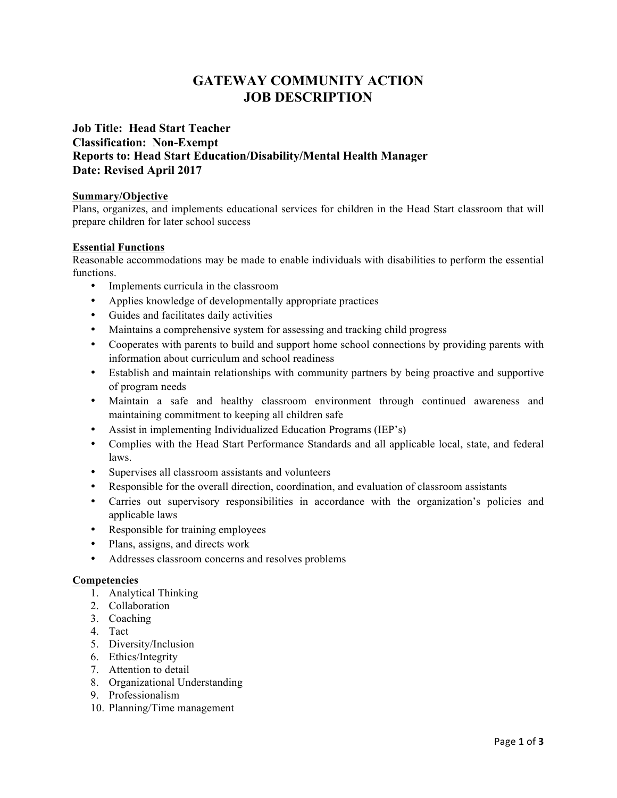# **GATEWAY COMMUNITY ACTION JOB DESCRIPTION**

# **Job Title: Head Start Teacher Classification: Non-Exempt Reports to: Head Start Education/Disability/Mental Health Manager Date: Revised April 2017**

# **Summary/Objective**

Plans, organizes, and implements educational services for children in the Head Start classroom that will prepare children for later school success

# **Essential Functions**

Reasonable accommodations may be made to enable individuals with disabilities to perform the essential functions.

- Implements curricula in the classroom
- Applies knowledge of developmentally appropriate practices
- Guides and facilitates daily activities
- Maintains a comprehensive system for assessing and tracking child progress
- Cooperates with parents to build and support home school connections by providing parents with information about curriculum and school readiness
- Establish and maintain relationships with community partners by being proactive and supportive of program needs
- Maintain a safe and healthy classroom environment through continued awareness and maintaining commitment to keeping all children safe
- Assist in implementing Individualized Education Programs (IEP's)
- Complies with the Head Start Performance Standards and all applicable local, state, and federal laws.
- Supervises all classroom assistants and volunteers
- Responsible for the overall direction, coordination, and evaluation of classroom assistants
- Carries out supervisory responsibilities in accordance with the organization's policies and applicable laws
- Responsible for training employees
- Plans, assigns, and directs work
- Addresses classroom concerns and resolves problems

#### **Competencies**

- 1. Analytical Thinking
- 2. Collaboration
- 3. Coaching
- 4. Tact
- 5. Diversity/Inclusion
- 6. Ethics/Integrity
- 7. Attention to detail
- 8. Organizational Understanding
- 9. Professionalism
- 10. Planning/Time management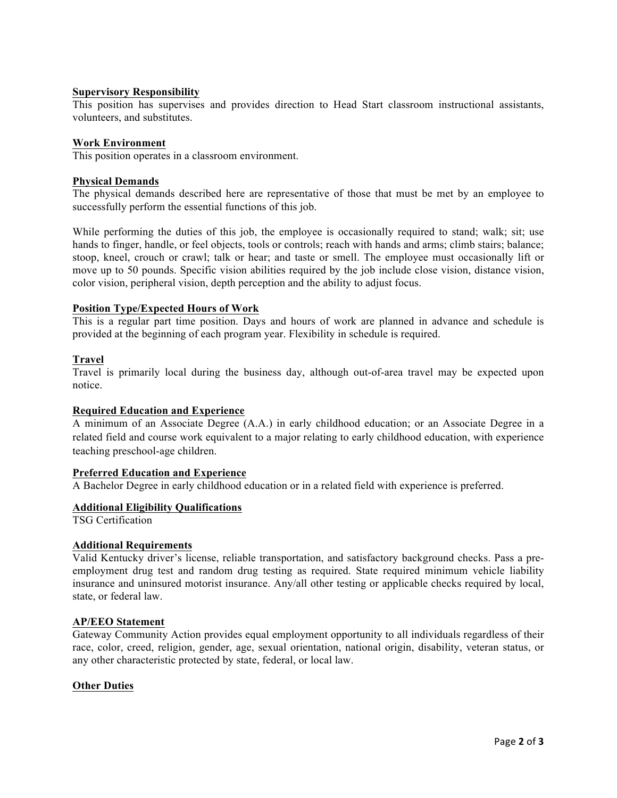# **Supervisory Responsibility**

This position has supervises and provides direction to Head Start classroom instructional assistants, volunteers, and substitutes.

#### **Work Environment**

This position operates in a classroom environment.

# **Physical Demands**

The physical demands described here are representative of those that must be met by an employee to successfully perform the essential functions of this job.

While performing the duties of this job, the employee is occasionally required to stand; walk; sit; use hands to finger, handle, or feel objects, tools or controls; reach with hands and arms; climb stairs; balance; stoop, kneel, crouch or crawl; talk or hear; and taste or smell. The employee must occasionally lift or move up to 50 pounds. Specific vision abilities required by the job include close vision, distance vision, color vision, peripheral vision, depth perception and the ability to adjust focus.

# **Position Type/Expected Hours of Work**

This is a regular part time position. Days and hours of work are planned in advance and schedule is provided at the beginning of each program year. Flexibility in schedule is required.

# **Travel**

Travel is primarily local during the business day, although out-of-area travel may be expected upon notice.

#### **Required Education and Experience**

A minimum of an Associate Degree (A.A.) in early childhood education; or an Associate Degree in a related field and course work equivalent to a major relating to early childhood education, with experience teaching preschool-age children.

#### **Preferred Education and Experience**

A Bachelor Degree in early childhood education or in a related field with experience is preferred.

#### **Additional Eligibility Qualifications**

TSG Certification

#### **Additional Requirements**

Valid Kentucky driver's license, reliable transportation, and satisfactory background checks. Pass a preemployment drug test and random drug testing as required. State required minimum vehicle liability insurance and uninsured motorist insurance. Any/all other testing or applicable checks required by local, state, or federal law.

# **AP/EEO Statement**

Gateway Community Action provides equal employment opportunity to all individuals regardless of their race, color, creed, religion, gender, age, sexual orientation, national origin, disability, veteran status, or any other characteristic protected by state, federal, or local law.

#### **Other Duties**